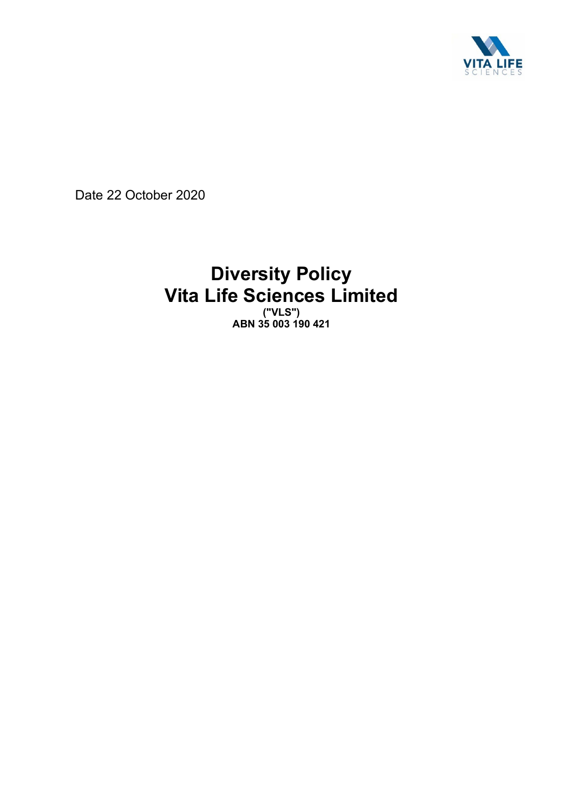

Date 22 October 2020

# **Diversity Policy Vita Life Sciences Limited**

**("VLS") ABN 35 003 190 421**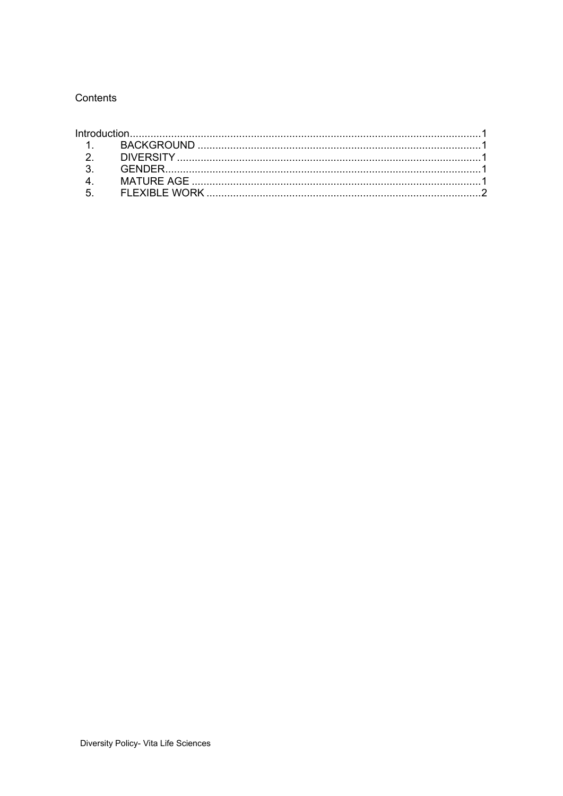### Contents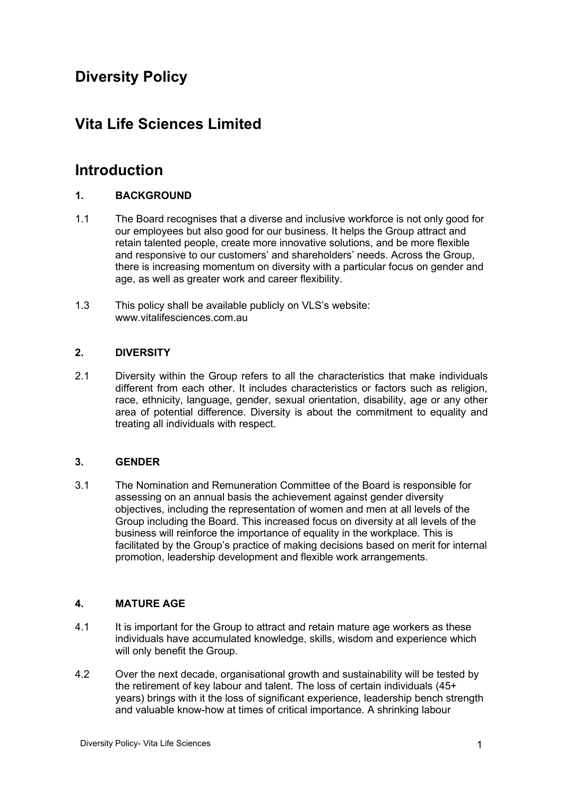# **Diversity Policy**

# **Vita Life Sciences Limited**

# **Introduction**

## **1. BACKGROUND**

- 1.1 The Board recognises that a diverse and inclusive workforce is not only good for our employees but also good for our business. It helps the Group attract and retain talented people, create more innovative solutions, and be more flexible and responsive to our customers' and shareholders' needs. Across the Group, there is increasing momentum on diversity with a particular focus on gender and age, as well as greater work and career flexibility.
- 1.3 This policy shall be available publicly on VLS's website: www.vitalifesciences.com.au

### **2. DIVERSITY**

2.1 Diversity within the Group refers to all the characteristics that make individuals different from each other. It includes characteristics or factors such as religion, race, ethnicity, language, gender, sexual orientation, disability, age or any other area of potential difference. Diversity is about the commitment to equality and treating all individuals with respect.

### **3. GENDER**

3.1 The Nomination and Remuneration Committee of the Board is responsible for assessing on an annual basis the achievement against gender diversity objectives, including the representation of women and men at all levels of the Group including the Board. This increased focus on diversity at all levels of the business will reinforce the importance of equality in the workplace. This is facilitated by the Group's practice of making decisions based on merit for internal promotion, leadership development and flexible work arrangements.

#### **4. MATURE AGE**

- 4.1 It is important for the Group to attract and retain mature age workers as these individuals have accumulated knowledge, skills, wisdom and experience which will only benefit the Group.
- 4.2 Over the next decade, organisational growth and sustainability will be tested by the retirement of key labour and talent. The loss of certain individuals (45+ years) brings with it the loss of significant experience, leadership bench strength and valuable know-how at times of critical importance. A shrinking labour